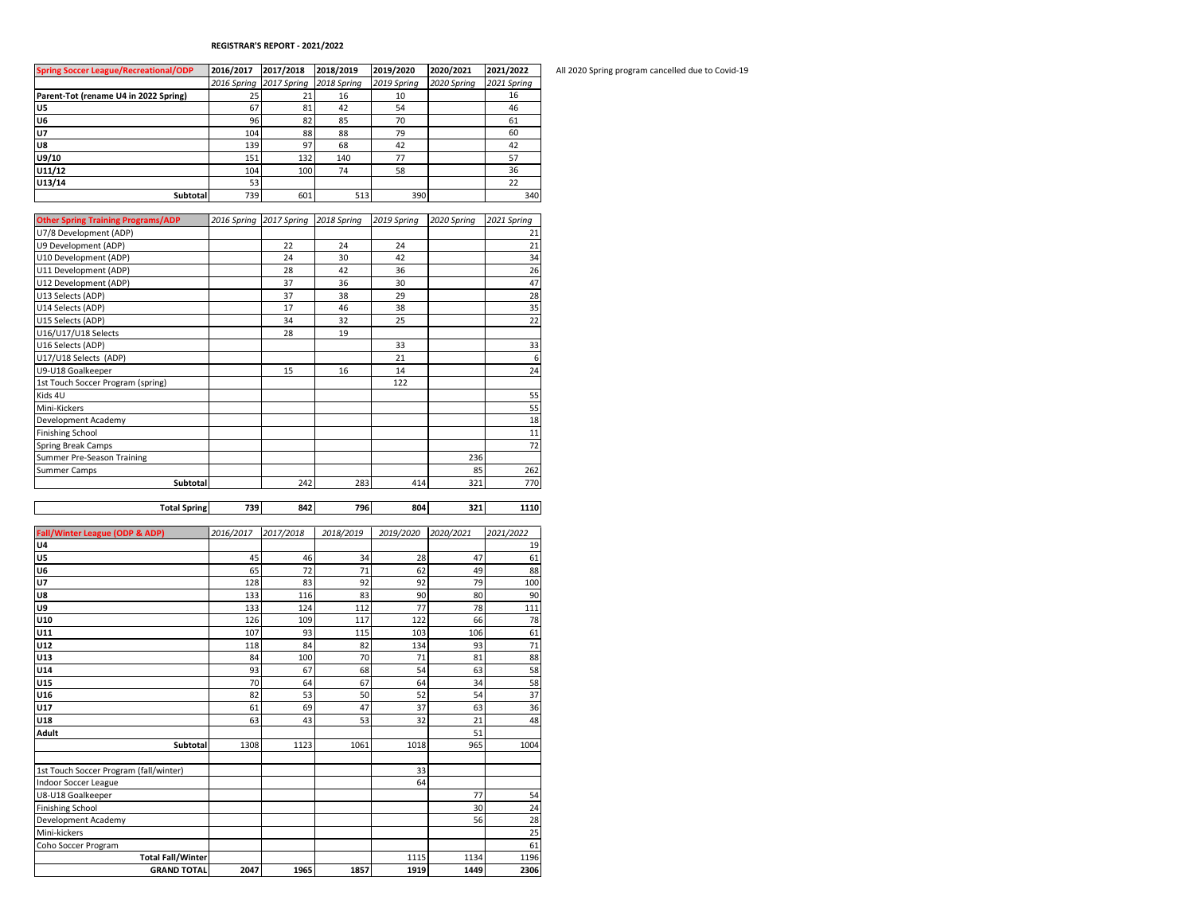## **REGISTRAR'S REPORT - 2021/2022**

| <b>Spring Soccer League/Recreational/ODP</b> | 2016/2017   | 2017/2018   | 2018/2019   | 2019/2020   | 2020/2021   | 2021/2022   |
|----------------------------------------------|-------------|-------------|-------------|-------------|-------------|-------------|
|                                              | 2016 Spring | 2017 Spring | 2018 Spring | 2019 Spring | 2020 Spring | 2021 Spring |
| Parent-Tot (rename U4 in 2022 Spring)        | 25          | 21          | 16          | 10          |             | 16          |
| U5                                           | 67          | 81          | 42          | 54          |             | 46          |
| U6                                           | 96          | 82          | 85          | 70          |             | 61          |
| <b>U7</b>                                    | 104         | 88          | 88          | 79          |             | 60          |
| lu8                                          | 139         | 97          | 68          | 42          |             | 42          |
| U9/10                                        | 151         | 132         | 140         | 77          |             | 57          |
| U11/12                                       | 104         | 100         | 74          | 58          |             | 36          |
| U13/14                                       | 53          |             |             |             |             | 22          |
| <b>Subtotal</b>                              | 739         | 601         | 513         | 390         |             | 340         |

| <b>Other Spring Training Programs/ADP</b> | 2016 Spring 2017 Spring 2018 Spring |     | 2019 Spring | 2020 Spring | 2021 Spring |
|-------------------------------------------|-------------------------------------|-----|-------------|-------------|-------------|
| U7/8 Development (ADP)                    |                                     |     |             |             | 21          |
| U9 Development (ADP)                      | 22                                  | 24  | 24          |             | 21          |
| U10 Development (ADP)                     | 24                                  | 30  | 42          |             | 34          |
| U11 Development (ADP)                     | 28                                  | 42  | 36          |             | 26          |
| U12 Development (ADP)                     | 37                                  | 36  | 30          |             | 47          |
| U13 Selects (ADP)                         | 37                                  | 38  | 29          |             | 28          |
| U14 Selects (ADP)                         | 17                                  | 46  | 38          |             | 35          |
| U15 Selects (ADP)                         | 34                                  | 32  | 25          |             | 22          |
| U16/U17/U18 Selects                       | 28                                  | 19  |             |             |             |
| U16 Selects (ADP)                         |                                     |     | 33          |             | 33          |
| U17/U18 Selects (ADP)                     |                                     |     | 21          |             | 6           |
| U9-U18 Goalkeeper                         | 15                                  | 16  | 14          |             | 24          |
| 1st Touch Soccer Program (spring)         |                                     |     | 122         |             |             |
| Kids 4U                                   |                                     |     |             |             | 55          |
| Mini-Kickers                              |                                     |     |             |             | 55          |
| Development Academy                       |                                     |     |             |             | 18          |
| <b>Finishing School</b>                   |                                     |     |             |             | 11          |
| Spring Break Camps                        |                                     |     |             |             | 72          |
| Summer Pre-Season Training                |                                     |     |             | 236         |             |
| Summer Camps                              |                                     |     |             | 85          | 262         |
| <b>Subtotal</b>                           | 242                                 | 283 | 414         | 321         | 770         |

| <b>Total Spring</b>                       | 739       | 842       | 796       | 804       | 321       | 1110      |
|-------------------------------------------|-----------|-----------|-----------|-----------|-----------|-----------|
|                                           |           |           |           |           |           |           |
| <b>Fall/Winter League (ODP &amp; ADP)</b> | 2016/2017 | 2017/2018 | 2018/2019 | 2019/2020 | 2020/2021 | 2021/2022 |
| U4                                        |           |           |           |           |           | 19        |
| U5                                        | 45        | 46        | 34        | 28        | 47        | 61        |
| U6                                        | 65        | 72        | 71        | 62        | 49        | 88        |
| <b>U7</b>                                 | 128       | 83        | 92        | 92        | 79        | 100       |
| U8                                        | 133       | 116       | 83        | 90        | 80        | 90        |
| U9                                        | 133       | 124       | 112       | 77        | 78        | 111       |
| U10                                       | 126       | 109       | 117       | 122       | 66        | 78        |
| U11                                       | 107       | 93        | 115       | 103       | 106       | 61        |
| U12                                       | 118       | 84        | 82        | 134       | 93        | 71        |
| U13                                       | 84        | 100       | 70        | 71        | 81        | 88        |
| U14                                       | 93        | 67        | 68        | 54        | 63        | 58        |
| U15                                       | 70        | 64        | 67        | 64        | 34        | 58        |
| U16                                       | 82        | 53        | 50        | 52        | 54        | 37        |
| U17                                       | 61        | 69        | 47        | 37        | 63        | 36        |
| U18                                       | 63        | 43        | 53        | 32        | 21        | 48        |
| <b>Adult</b>                              |           |           |           |           | 51        |           |
| Subtotal                                  | 1308      | 1123      | 1061      | 1018      | 965       | 1004      |
|                                           |           |           |           |           |           |           |
| 1st Touch Soccer Program (fall/winter)    |           |           |           | 33        |           |           |
| <b>Indoor Soccer League</b>               |           |           |           | 64        |           |           |
| U8-U18 Goalkeeper                         |           |           |           |           | 77        | 54        |
| <b>Finishing School</b>                   |           |           |           |           | 30        | 24        |
| Development Academy                       |           |           |           |           | 56        | 28        |
| Mini-kickers                              |           |           |           |           |           | 25        |
| Coho Soccer Program                       |           |           |           |           |           | 61        |
| <b>Total Fall/Winter</b>                  |           |           |           | 1115      | 1134      | 1196      |
| <b>GRAND TOTAL</b>                        | 2047      | 1965      | 1857      | 1919      | 1449      | 2306      |
|                                           |           |           |           |           |           |           |

**Spring Soccer League/Recreational/ODP 2016/2017 2017/2018 2018/2019 2019/2020 2020/2021 2021/2022** All 2020 Spring program cancelled due to Covid-19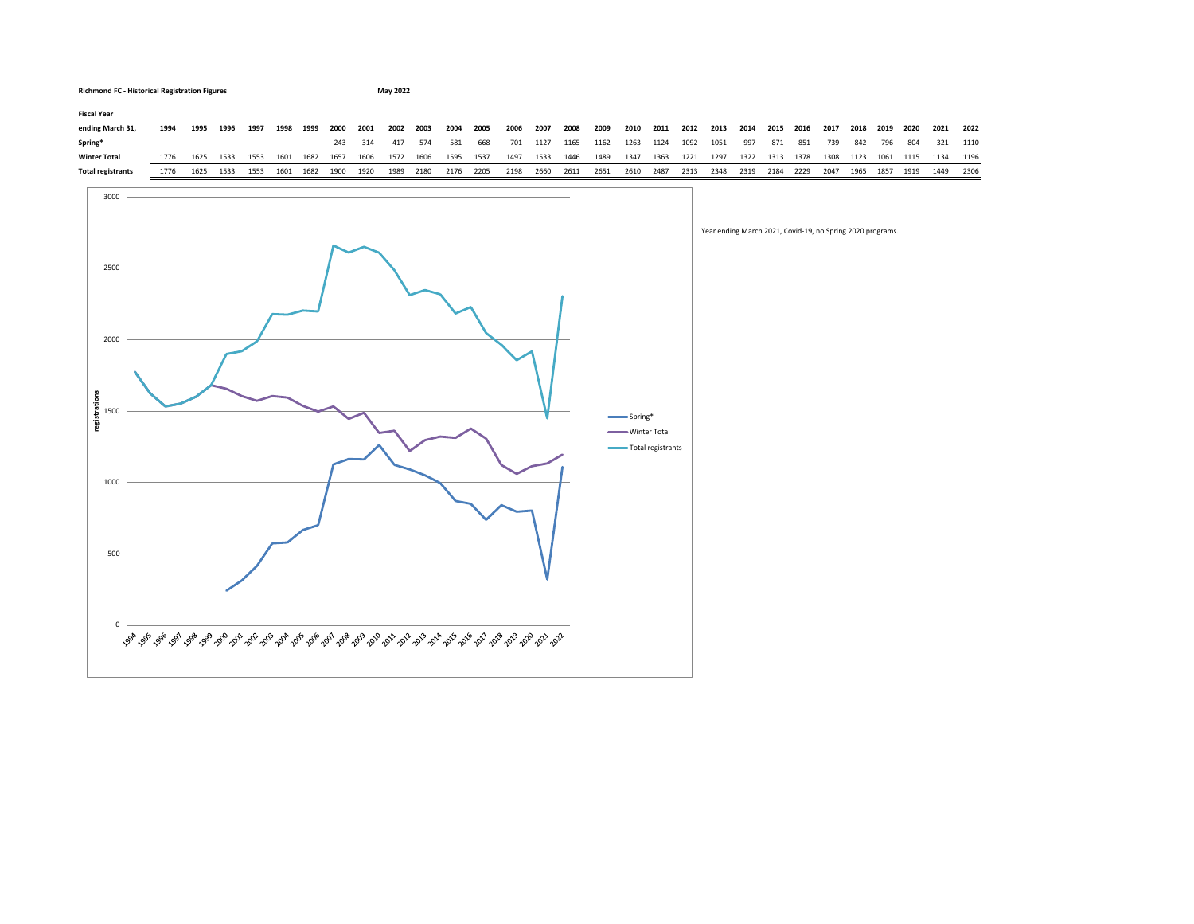

0

500